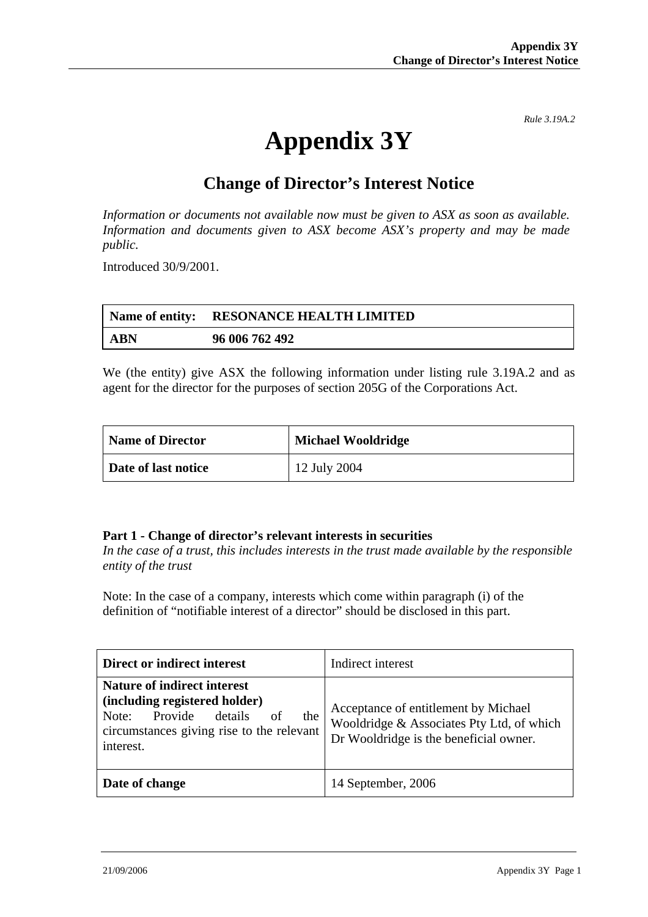*Rule 3.19A.2*

# **Appendix 3Y**

## **Change of Director's Interest Notice**

*Information or documents not available now must be given to ASX as soon as available. Information and documents given to ASX become ASX's property and may be made public.* 

Introduced 30/9/2001.

|     | Name of entity: RESONANCE HEALTH LIMITED |
|-----|------------------------------------------|
| ABN | 96 006 762 492                           |

We (the entity) give ASX the following information under listing rule 3.19A.2 and as agent for the director for the purposes of section 205G of the Corporations Act.

| Name of Director    | <b>Michael Wooldridge</b> |
|---------------------|---------------------------|
| Date of last notice | 12 July 2004              |

#### **Part 1 - Change of director's relevant interests in securities**

*In the case of a trust, this includes interests in the trust made available by the responsible entity of the trust* 

Note: In the case of a company, interests which come within paragraph (i) of the definition of "notifiable interest of a director" should be disclosed in this part.

| Direct or indirect interest                                                                                                                                               | Indirect interest                                                                                                           |
|---------------------------------------------------------------------------------------------------------------------------------------------------------------------------|-----------------------------------------------------------------------------------------------------------------------------|
| <b>Nature of indirect interest</b><br>(including registered holder)<br>Provide<br>details<br>of<br>Note:<br>the<br>circumstances giving rise to the relevant<br>interest. | Acceptance of entitlement by Michael<br>Wooldridge & Associates Pty Ltd, of which<br>Dr Wooldridge is the beneficial owner. |
| Date of change                                                                                                                                                            | 14 September, 2006                                                                                                          |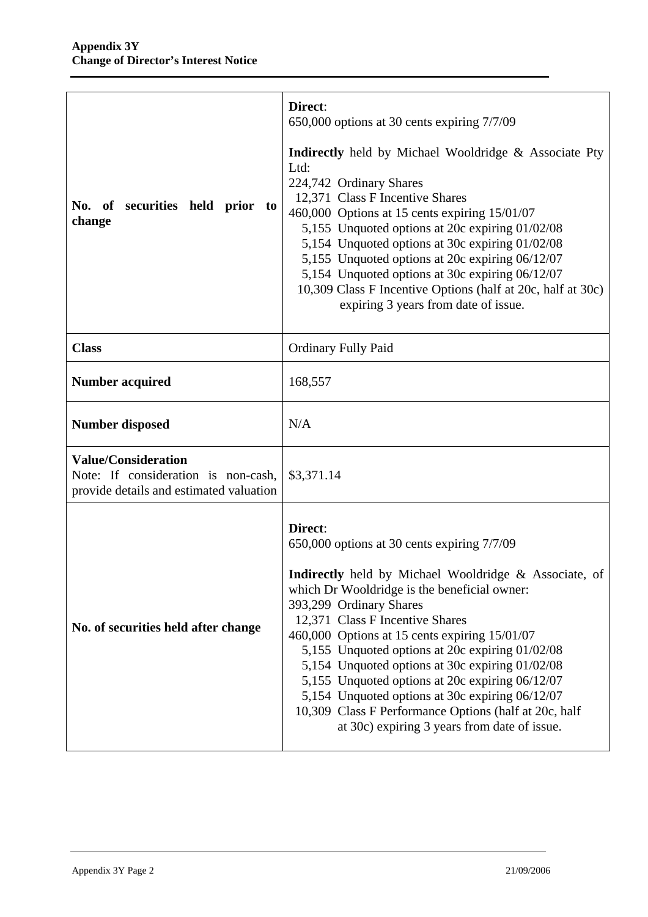| No. of securities held prior<br>to<br>change                                                                 | Direct:<br>650,000 options at 30 cents expiring 7/7/09<br><b>Indirectly</b> held by Michael Wooldridge & Associate Pty<br>Ltd:<br>224,742 Ordinary Shares<br>12,371 Class F Incentive Shares<br>460,000 Options at 15 cents expiring 15/01/07<br>5,155 Unquoted options at 20c expiring 01/02/08<br>5,154 Unquoted options at 30c expiring 01/02/08<br>5,155 Unquoted options at 20c expiring 06/12/07<br>5,154 Unquoted options at 30c expiring 06/12/07<br>10,309 Class F Incentive Options (half at 20c, half at 30c)<br>expiring 3 years from date of issue.                                    |
|--------------------------------------------------------------------------------------------------------------|-----------------------------------------------------------------------------------------------------------------------------------------------------------------------------------------------------------------------------------------------------------------------------------------------------------------------------------------------------------------------------------------------------------------------------------------------------------------------------------------------------------------------------------------------------------------------------------------------------|
| <b>Class</b>                                                                                                 | <b>Ordinary Fully Paid</b>                                                                                                                                                                                                                                                                                                                                                                                                                                                                                                                                                                          |
| <b>Number acquired</b>                                                                                       | 168,557                                                                                                                                                                                                                                                                                                                                                                                                                                                                                                                                                                                             |
| <b>Number disposed</b>                                                                                       | N/A                                                                                                                                                                                                                                                                                                                                                                                                                                                                                                                                                                                                 |
| <b>Value/Consideration</b><br>Note: If consideration is non-cash,<br>provide details and estimated valuation | \$3,371.14                                                                                                                                                                                                                                                                                                                                                                                                                                                                                                                                                                                          |
| No. of securities held after change                                                                          | Direct:<br>650,000 options at 30 cents expiring 7/7/09<br>Indirectly held by Michael Wooldridge & Associate, of<br>which Dr Wooldridge is the beneficial owner:<br>393,299 Ordinary Shares<br>12,371 Class F Incentive Shares<br>460,000 Options at 15 cents expiring 15/01/07<br>5,155 Unquoted options at 20c expiring 01/02/08<br>5,154 Unquoted options at 30c expiring 01/02/08<br>5,155 Unquoted options at 20c expiring 06/12/07<br>5,154 Unquoted options at 30c expiring 06/12/07<br>10,309 Class F Performance Options (half at 20c, half<br>at 30c) expiring 3 years from date of issue. |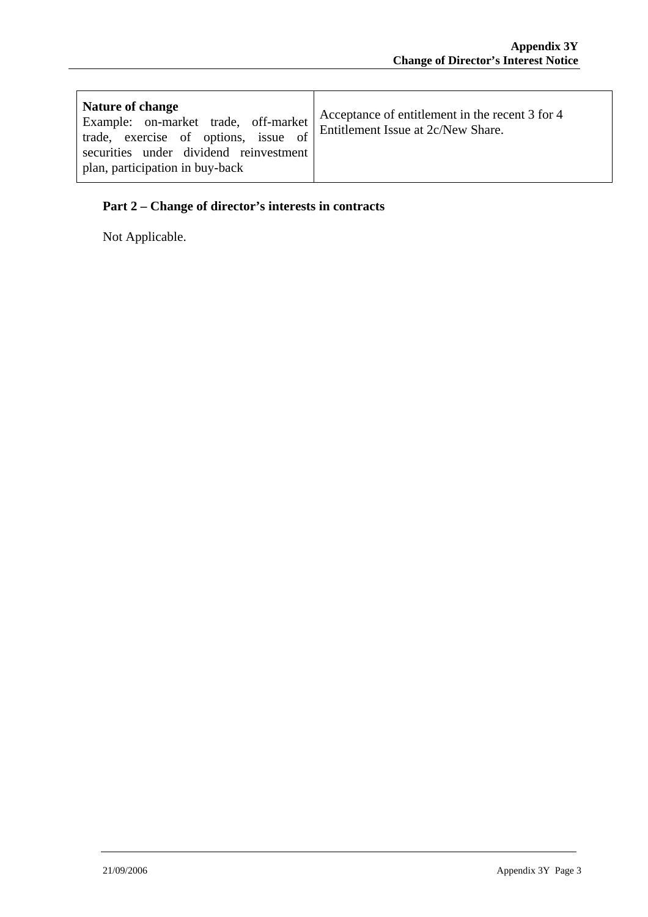| <b>Nature of change</b><br>Example: on-market trade, off-market<br>trade, exercise of options, issue of<br>securities under dividend reinvestment<br>plan, participation in buy-back | Acceptance of entitlement in the recent 3 for 4<br>Entitlement Issue at 2c/New Share. |
|--------------------------------------------------------------------------------------------------------------------------------------------------------------------------------------|---------------------------------------------------------------------------------------|
|--------------------------------------------------------------------------------------------------------------------------------------------------------------------------------------|---------------------------------------------------------------------------------------|

### **Part 2 – Change of director's interests in contracts**

Not Applicable.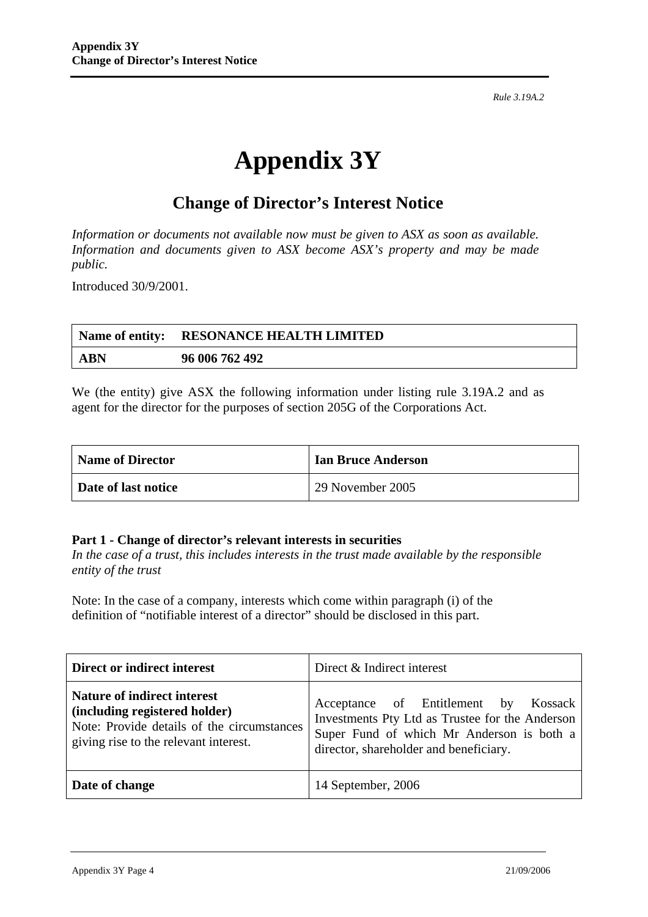*Rule 3.19A.2*

# **Appendix 3Y**

## **Change of Director's Interest Notice**

*Information or documents not available now must be given to ASX as soon as available. Information and documents given to ASX become ASX's property and may be made public.* 

Introduced 30/9/2001.

|            | Name of entity: RESONANCE HEALTH LIMITED |
|------------|------------------------------------------|
| <b>ABN</b> | 96 006 762 492                           |

We (the entity) give ASX the following information under listing rule 3.19A.2 and as agent for the director for the purposes of section 205G of the Corporations Act.

| <b>Name of Director</b> | <b>Ian Bruce Anderson</b> |
|-------------------------|---------------------------|
| Date of last notice     | 29 November 2005          |

#### **Part 1 - Change of director's relevant interests in securities**

*In the case of a trust, this includes interests in the trust made available by the responsible entity of the trust* 

Note: In the case of a company, interests which come within paragraph (i) of the definition of "notifiable interest of a director" should be disclosed in this part.

| Direct or indirect interest                                                                                                                                | Direct & Indirect interest                                                                                                                                                     |
|------------------------------------------------------------------------------------------------------------------------------------------------------------|--------------------------------------------------------------------------------------------------------------------------------------------------------------------------------|
| <b>Nature of indirect interest</b><br>(including registered holder)<br>Note: Provide details of the circumstances<br>giving rise to the relevant interest. | Acceptance of Entitlement by Kossack<br>Investments Pty Ltd as Trustee for the Anderson<br>Super Fund of which Mr Anderson is both a<br>director, shareholder and beneficiary. |
| Date of change                                                                                                                                             | 14 September, 2006                                                                                                                                                             |